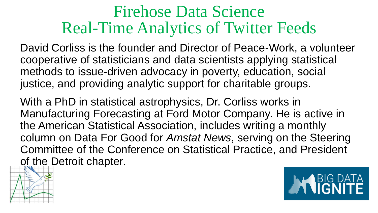#### Firehose Data Science Real-Time Analytics of Twitter Feeds

David Corliss is the founder and Director of Peace-Work, a volunteer cooperative of statisticians and data scientists applying statistical methods to issue-driven advocacy in poverty, education, social justice, and providing analytic support for charitable groups.

With a PhD in statistical astrophysics, Dr. Corliss works in Manufacturing Forecasting at Ford Motor Company. He is active in the American Statistical Association, includes writing a monthly column on Data For Good for *Amstat News*, serving on the Steering Committee of the Conference on Statistical Practice, and President of the Detroit chapter.



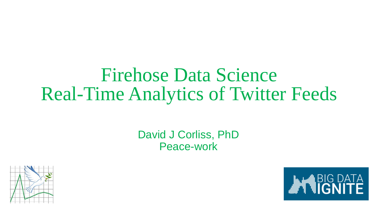#### Firehose Data Science Real-Time Analytics of Twitter Feeds

#### David J Corliss, PhD Peace-work



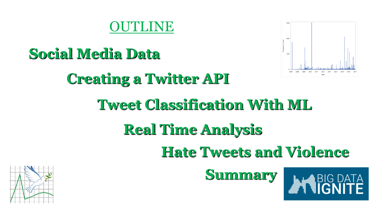#### **MUNE**



# **Social Media Data Creating a Twitter API Tweet Classification With ML Real Time Analysis Hate Tweets and Violence Summary**

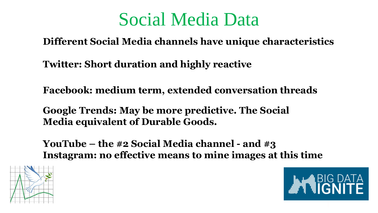#### Social Media Data

**Different Social Media channels have unique characteristics** 

**Twitter: Short duration and highly reactive**

**Facebook: medium term, extended conversation threads**

**Google Trends: May be more predictive. The Social Media equivalent of Durable Goods.** 

**YouTube – the #2 Social Media channel - and #3 Instagram: no effective means to mine images at this time**



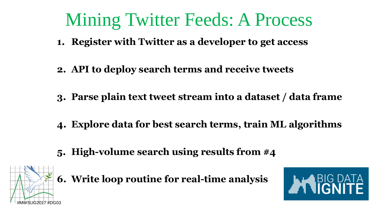#### Mining Twitter Feeds: A Process

- **1. Register with Twitter as a developer to get access**
- **2. API to deploy search terms and receive tweets**
- **3. Parse plain text tweet stream into a dataset / data frame**
- **4. Explore data for best search terms, train ML algorithms**
- **5. High-volume search using results from #4**



**6. Write loop routine for real-time analysis**

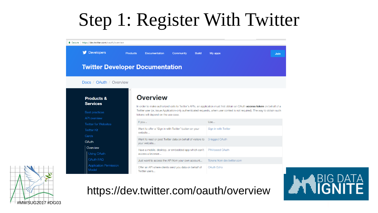#### Step 1: Register With Twitter





#### https://dev.twitter.com/oauth/overview

# BIG DATA<br>I**CNITE**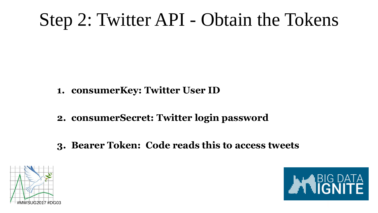## Step 2: Twitter API - Obtain the Tokens

- **1. consumerKey: Twitter User ID**
- **2. consumerSecret: Twitter login password**
- **3. Bearer Token: Code reads this to access tweets**



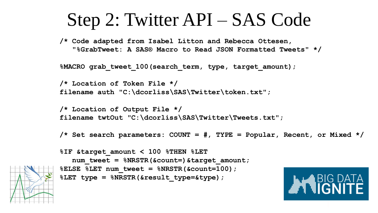#### Step 2: Twitter API – SAS Code

**/\* Code adapted from Isabel Litton and Rebecca Ottesen, "%GrabTweet: A SAS® Macro to Read JSON Formatted Tweets" \*/**

**%MACRO grab\_tweet\_100(search\_term, type, target\_amount);**

```
/* Location of Token File */
filename auth "C:\dcorliss\SAS\Twitter\token.txt";
```
**/\* Location of Output File \*/ filename twtOut "C:\dcorliss\SAS\Twitter\Tweets.txt";**

**/\* Set search parameters: COUNT = #, TYPE = Popular, Recent, or Mixed \*/**



```
%IF &target_amount < 100 %THEN %LET 
   num_tweet = %NRSTR(&count=)&target_amount;
%ELSE %LET num_tweet = %NRSTR(&count=100);
%LET type = %NRSTR(&result_type=&type);
```
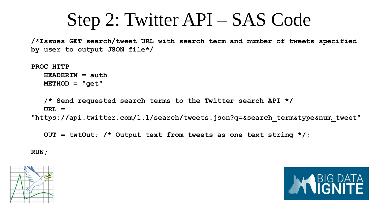#### Step 2: Twitter API – SAS Code

**/\*Issues GET search/tweet URL with search term and number of tweets specified by user to output JSON file\*/**

```
PROC HTTP
   HEADERIN = auth
  METHOD = "get"
   /* Send requested search terms to the Twitter search API */
   URL = 
"https://api.twitter.com/1.1/search/tweets.json?q=&search_term&type&num_tweet"
```

```
OUT = twtOut; /* Output text from tweets as one text string */;
```
**RUN;**



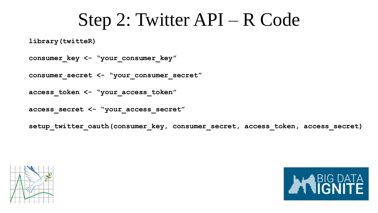#### Step 2: Twitter API – R Code

**library(twitteR)**

**consumer\_key <- "your\_consumer\_key"**

**consumer\_secret <- "your\_consumer\_secret"**

**access\_token <- "your\_access\_token"**

**access\_secret <- "your\_access\_secret"**

**setup\_twitter\_oauth(consumer\_key, consumer\_secret, access\_token, access\_secret)**



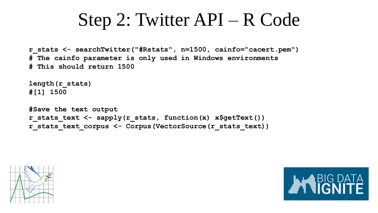#### Step 2: Twitter API – R Code

```
r_stats <- searchTwitter("#Rstats", n=1500, cainfo="cacert.pem")
# The cainfo parameter is only used in Windows environments
# This should return 1500
```

```
length(r_stats)
#[1] 1500
```
**#Save the text output r\_stats\_text <- sapply(r\_stats, function(x) x\$getText()) r\_stats\_text\_corpus <- Corpus(VectorSource(r\_stats\_text))**



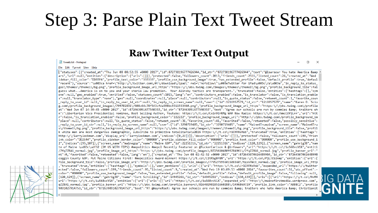## Step 3: Parse Plain Text Tweet Stream

#### **Raw Twitter Text Output**

Tweets.txt - Notepad

File Edit Format View Help

{"statuses":[{"created at":"Thu Jun 08 08:52:55 +0000 2017","id":872738196777426944,"id str":"872738196777426944","text":"@lsarsour You hate America &amp ^ ars","url":null,"entities":{"description":{"urls":[]}},"protected":false,"followers count":2013,"friends count":2511,"listed count":26,"created at":"Wed idebar\_fill\_color":"DDEEF6","profile\_text\_color":"333333","profile\_use\_background\_image":true,"has\_extended\_profile":false,"default\_profile":true,"defaul "recent"},"source":"\u003ca href=\"http:\/\/twitter.com\/#!\/download\/ipad\" rel=\"nofollow\"\u003eTwitter for iPad\u003c\/a\u003e","in reply to status ges\/themes\/theme1\/bg.png","profile background image url https":"https:\/\/abs.twimg.com\/images\/theme1\/bg.png","profile background tile":fal guess what...America is on to you and your sharia law promotion. Your Alinsky tactics are transparent.","truncated":false,"entities":{"hashtags":[],"sym one":null,"geo enabled":true,"verified":false,"statuses count":1015,"lang":"en","contributors enabled":false,"is translator":false,"is translation enable s":null,"translator\_type":"none"},"geo":null,"coordinates":null,"place":null,"contributors":null,"is\_quote\_status":false,"retweet\_count":1,"favorite\_coun reply to user id":null,"in reply to user id str":null,"in reply to screen name":null,"user":{"id":1216957579,"id str":"1216957579","name":"Karen D. Scio g.com\/profile\_background\_images\/799702831\/608c64c78f543cfda598bc9311553460.png","profile\_background\_image\_url\_https":"https:\/\/pbs.twimg.com\/profile at": "Wed Jun 07 14:39:45 +0000 2017", "id":872463091677540353, "id str": "872463091677540353", "text": "Agree our schools are run by commies & traitors wh n": "Libertarian Vice Presidential nominee, Best Selling Author, Youtube: https:\/\/t.co\/Cxln91HRMg WAR Now Radio: https:\/\/t.co\/WmcCUVjLrr","url":"htt r":false,"is translation enabled":false,"profile background color":"222222","profile background image\_url":"http:\/\/pbs.twimg.com\/profile background im "place":null,"contributors":null,"is\_quote\_status":false,"retweet\_count":36,"favorite\_count":41,"favorited":false,"retweeted":false,"possibly\_sensitive": reply to user id str":null,"in reply to screen name":null,"user":{"id":3290719405,"id str":"3290719405","name":"Maine4Trumpism","screen name":"Maine4Tru s\/theme1\/bg.png","profile\_background\_image\_url\_https":"https:\/\/abs.twimg.com\/images\/themes\/theme1\/bg.png","profile\_background\_tile":false,"profil k white men are most dangerous demographic, subscribe to primitive totalitaria\u2026 https:\/\/t.co\/r1CHYXsHsb","truncated":true,"entities":{"hashtags": http:\/\/larrylockman.com","display url":"larrylockman.com","indices":[0,23]}]},"description":{"urls":[]}},"protected":false,"followers count":199,"frien ink\_color":"DD2E44","profile\_sidebar\_border\_color":"000000","profile\_sidebar\_fill\_color":"000000","profile\_text\_color":"000000","profile\_use\_background\_i 2","indices":[95,107]},{"screen name":"mainegop","name":"Maine GOP","id":22251316,"id str":"22251316","indices":[120,129]},{"screen name":"gehrig38","nam te of Maine \ud83c\udf32 (DM US WITH TIPS) #mepolitics #mepol Recently Featured on @TuckerCarlson & @infowars","url":"https:\/\/t.co\/iuS68vcV1X","entiti /7fqZZBA1\_normal.jpg","profile\_image\_url\_https":"https:\/\/pbs.twimg.com\/profile\_images\/872561048095784961\/7fqZZBA1\_normal.jpg","profile\_banner\_url":" nt":0,"favorited":false,"retweeted":false,"lang":"en"},{"created at":"Thu Jun 08 02:42:52 +0000 2017","id":872645070616489984,"id str":"87264507061648998 coggin County GOP. Put Maine Citizens First! #mepolitics Award-Winner! https:\/\/t.co\/CItRSg8f8N","url":"https:\/\/t.co\/PiLJES1nmp","entities":{"url":{ file\_background\_tile":false,"profile\_image\_url":"http:\/\/pbs.twimg.com\/profile\_images\/779527995501506560\/tqs6TWcE\_normal.jpg","profile\_image\_url\_http ,"truncated":true,"entities":{"hashtags":[],"symbols":[],"user mentions":[],"urls":[{"url":"https:\/\/t.co\/r1CHYXsHsb","expanded url":"https:\/\/twitter ected":false,"followers\_count":199,"friends\_count":95,"listed\_count":9,"created\_at":"Wed Feb 19 03:09:53 +0000 2014","favourites\_count":51,"utc\_offset":color":"000000","profile use background image":false,"has extended profile":false,"default profile":false,"default profile image":false,"following":null, [120,129]},{"screen name":"gehrig38","name":"Curt Schilling","id":14945261,"id str":"14945261","indices":[130,139]}],"urls":[{"url":"https:\/\/t.co\/NvM4 url":"https:\/\/t.co\/iuS68vcV1X","entities":{"url":{"urls":[{"url":"https:\/\/t.co\/iuS68vcV1X","expanded\_url":"http:\/\/mainefirstmedia.wordpress.com", gZZBA1 normal.jpg","profile banner url":"https:\/\/pbs.twimg.com\/profile banners\/816402981851660288\/1496869729","profile link color":"ABB8C2","profile 9091027914753,"id str":"872639091027914753","text":"RT @WayneRoot: Agree our schools are run by commies & traitors who hate America & Christianit



 $\Box$  $\mathsf{X}$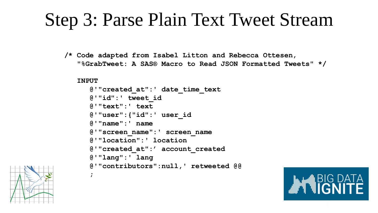#### Step 3: Parse Plain Text Tweet Stream

**/\* Code adapted from Isabel Litton and Rebecca Ottesen, "%GrabTweet: A SAS® Macro to Read JSON Formatted Tweets" \*/**

#### **INPUT**

**;**

```
@'"created_at":' date_time_text
@'"id":' tweet_id
@'"text":' text
@'"user":{"id":' user_id
@'"name":' name
@'"screen_name":' screen_name
@'"location":' location
@'"created_at":' account_created
@'"lang":' lang
@'"contributors":null,' retweeted @@
```


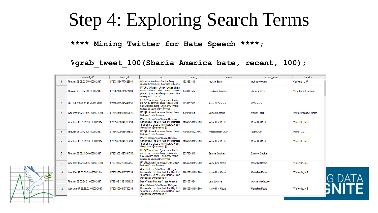#### Step 4: Exploring Search Terms

**\*\*\*\* Mining Twitter for Hate Speech \*\*\*\*;**

#### **%grab\_tweet\_100(Sharia America hate, recent, 100);**

|                | created at 1                   | tweet id           | text                                                                                                                                                          | user id         | name              | screen name       | location            |
|----------------|--------------------------------|--------------------|---------------------------------------------------------------------------------------------------------------------------------------------------------------|-----------------|-------------------|-------------------|---------------------|
|                | Thu Jun 08 08:52:55 +0000 2017 | 872738196777426944 | @Isarsour You hate America &:<br>support Sharia here. Your time will come.                                                                                    | 1223623118      | Michael Erwin     | michaeloferwins   | Califomia, USA      |
| $\overline{2}$ | Thu Jun 08 03:52:00 +0000 2017 | 872662466714624001 | RT @LMARocks: @Isarsour Not a hate<br>crime, and quess whatAmerica is on to  4223111532<br>vou and your sharia law promotion. Your<br>Alinsky tactics are tr\ |                 | PorkChop Express  | China is here     | Wing Kong Exchange  |
| 3              | Mon Feb 23 03:30:48 +0000 2009 | 872660605043449856 | RT @WayneRoot: Agree our schools<br>are run by commies & traitors who<br>hate America &: Christianity? What<br>exactly do you call this? \nhttp               | 1216957579      | Karen D. Scioscia | KDScioscia        |                     |
| 4              | Wed May 06 21:43:22 +0000 2009 | 872645595068067840 | RT @lockman4mehouse: Many \"new<br>Mainers\" hate America                                                                                                     | 3290719405      | Maine4Trumpism    | Maine4Trump       | #ME02 Moscow, Maine |
| -5             | Wed Feb 19 03:09:53 +0000 2014 | 872598556640780291 | #NewRelease \n\nMaine's Refugee<br>Community: The Best And The Brightest   816402981851660<br>\n\nhttps:\/\/t.co\/NvM4koRXXR\n\n<br>#mepolitics @mainegop @   |                 | Maine First Media | Maine First Media | Waterville, ME      |
| -6             | Thu Jun 08 02:42:52 +0000 2017 | 872645070616489984 | RT @lockman4mehouse: Many \"new<br>Mainers\" hate America                                                                                                     | 779527044287848 | Androscoggin GOP  | AndroGOP          | Maine, USA          |
|                | Wed Feb 19 03:09:53 +0000 2014 | 872598556640780291 | #NewRelease \n\nMaine's Refugee<br>Community: The Best And The Brightest<br>\n\nhttps:\/\/t.co\/NvM4koRXXR\n\n<br>#mepolitics @mainegop @                     | 816402981851660 | Maine First Media | Maine First Media | Waterville, ME      |
| 8              | Thu Jun 08 02:19:06 +0000 2017 | 872639091027914753 | RT @WayneRoot: Agree our schools<br>are run by commies &: traitors who<br>hate America & Christianity? What<br>exactly do you call this? \nhttp               | 2937854619      | Sammie Snickers   | Sammie Snickers   |                     |
| -9             | Wed May 06 21:43:22 +0000 2009 | 872610362209837056 | RT @lockman4mehouse: Many \"new<br>Mainers\" hate America                                                                                                     | 816402981851660 | Maine First Media | Maine First Media | Waterville, ME      |
| 10             | Wed Feb 19 03:09:53 +0000 2014 | 872598556640780291 | #NewRelease \n\nMaine's Refugee<br>Community: The Best And The Brightest<br>\n\nhttps:\/\/t.co\/NvM4koRXXR\n\n<br>#mepolitics @mainegop @                     | 816402981851660 | Maine First Media | Maine First Media | Waterville, ME      |
| 11             | Thu Jun 08 00:24:21 +0000 2017 | 872610213991501828 | Many \"new Mainers\" hate America                                                                                                                             | 2351033034      | Lany Lockman      | lockman4mehouse   |                     |
| 12             | Wed Jun 07 23:38:02 +0000 2017 | 872598556640780291 | #NewRelease \n\nMaine's Refugee<br>Community: The Best And The Brightest<br>\n\nhttps:\/\/t.co\/NvM4koRXXR\n\n<br>#mepolitics @mainegop @                     | 816402981851660 | Maine First Media | Maine First Media | Waterville, ME      |
|                |                                |                    |                                                                                                                                                               |                 |                   |                   |                     |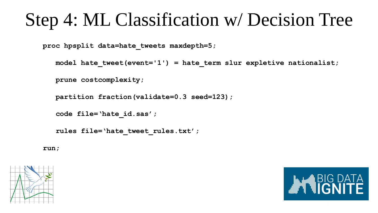#### Step 4: ML Classification w/ Decision Tree

**proc hpsplit data=hate\_tweets maxdepth=5;**

```
model hate tweet(event='1') = hate term slur expletive nationalist;
```
**prune costcomplexity;**

```
partition fraction(validate=0.3 seed=123);
```

```
code file='hate_id.sas';
```

```
rules file='hate_tweet_rules.txt';
```
**run;**



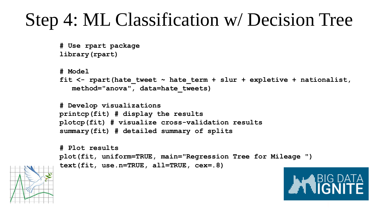## Step 4: ML Classification w/ Decision Tree

```
# Use rpart package
library(rpart)
```

```
# Model
fit <- rpart(hate_tweet ~ hate_term + slur + expletive + nationalist, 
   method="anova", data=hate_tweets)
```

```
# Develop visualizations
printcp(fit) # display the results 
plotcp(fit) # visualize cross-validation results 
summary(fit) # detailed summary of splits
```

```
# Plot results 
plot(fit, uniform=TRUE, main="Regression Tree for Mileage ")
text(fit, use.n=TRUE, all=TRUE, cex=.8)
```


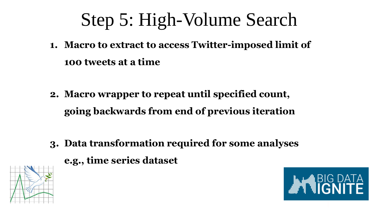# Step 5: High-Volume Search

**1. Macro to extract to access Twitter-imposed limit of 100 tweets at a time**

- **2. Macro wrapper to repeat until specified count, going backwards from end of previous iteration**
- **3. Data transformation required for some analyses e.g., time series dataset**



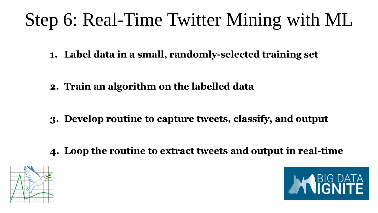# Step 6: Real-Time Twitter Mining with ML

**1. Label data in a small, randomly-selected training set**

- **2. Train an algorithm on the labelled data**
- **3. Develop routine to capture tweets, classify, and output**

**4. Loop the routine to extract tweets and output in real-time**



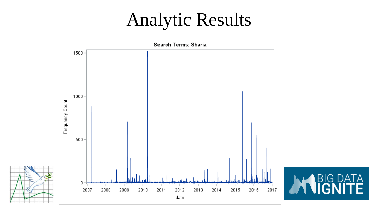#### Analytic Results



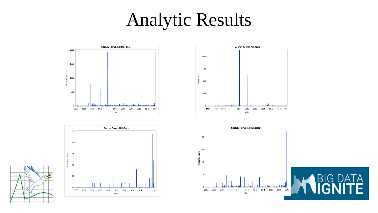#### Analytic Results







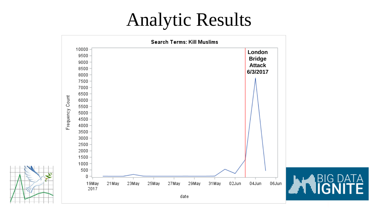#### Analytic Results

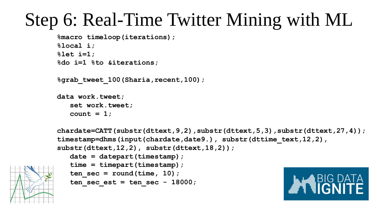### Step 6: Real-Time Twitter Mining with ML

```
%macro timeloop(iterations);
%local i;
%let i=1;
%do i=1 %to &iterations;
```
**%grab\_tweet\_100(Sharia,recent,100);**

```
data work.tweet;
   set work.tweet;
   count = 1;
```

```
chardate=CATT(substr(dttext,9,2),substr(dttext,5,3),substr(dttext,27,4));
timestamp=dhms(input(chardate,date9.), substr(dttime text,12,2),
substr(dttext,12,2), substr(dttext,18,2));
  date = datepart(timestamp);
   time = timepart(timestamp);
   ten sec = round(time, 10);
   ten sec est = ten sec - 18000;
```
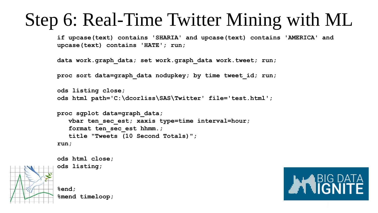#### Step 6: Real-Time Twitter Mining with ML

**if upcase(text) contains 'SHARIA' and upcase(text) contains 'AMERICA' and upcase(text) contains 'HATE'; run;**

```
data work.graph_data; set work.graph_data work.tweet; run;
```
**proc sort data=graph\_data nodupkey; by time tweet\_id; run;**

```
ods listing close; 
ods html path='C:\dcorliss\SAS\Twitter' file='test.html';
```

```
proc sgplot data=graph_data;
   vbar ten_sec_est; xaxis type=time interval=hour;
   format ten_sec_est hhmm.;
   title "Tweets (10 Second Totals)";
run;
```
**ods html close; ods listing; %end; %mend timeloop;**

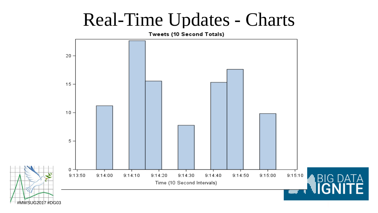#### Real-Time Updates - Charts

Tweets (10 Second Totals)  $20 15 -$ 10 5 0 -9:13:50  $9:14:00$  $9:14:10$ 9:14:20 9:14:30  $9:14:40$ 9:14:50  $9:15:00$ 9:15:10 Time (10 Second Intervals) **TIIIIII** #MWSUG2017 #DG03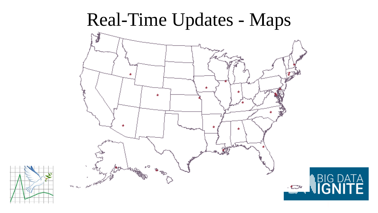#### Real-Time Updates - Maps



ТA

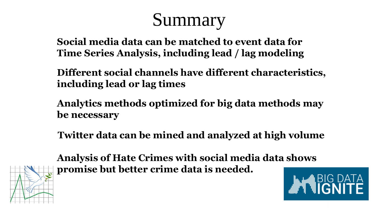## Summary

**Social media data can be matched to event data for Time Series Analysis, including lead / lag modeling**

**Different social channels have different characteristics, including lead or lag times**

**Analytics methods optimized for big data methods may be necessary**

**Twitter data can be mined and analyzed at high volume**



**Analysis of Hate Crimes with social media data shows promise but better crime data is needed.**

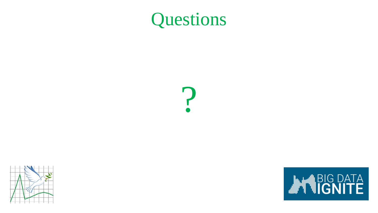#### Questions